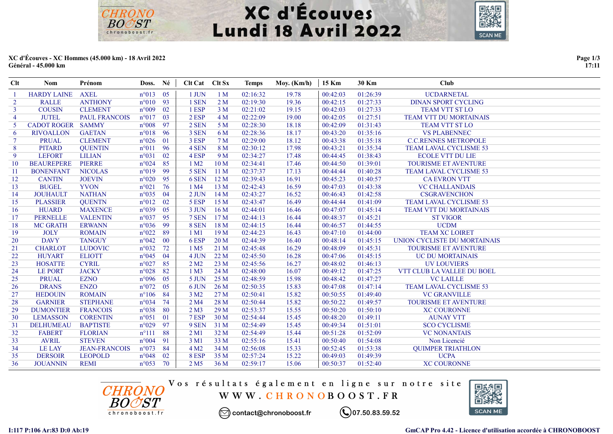



## XC d'Écouves - XC Hommes (45.000 km) - 18 Avril 2022 Général - 45.000 km

**CHRONO BOOST** 

chronoboost.fl

| <b>Clt</b>     | <b>Nom</b>               | Prénom               | Doss. Né          |      | Clt Cat Clt Sx   |                 | <b>Temps</b> | Moy. $(Km/h)$ | 15 Km    | 30 Km    | <b>Club</b>                   |
|----------------|--------------------------|----------------------|-------------------|------|------------------|-----------------|--------------|---------------|----------|----------|-------------------------------|
|                | <b>HARDY LAINE</b>       | <b>AXEL</b>          | $n^{\circ}013$ 05 |      | 1 JUN            | 1 <sub>M</sub>  | 02:16:32     | 19.78         | 00:42:03 | 01:26:39 | <b>UCDARNETAL</b>             |
| $\overline{2}$ | <b>RALLE</b>             | <b>ANTHONY</b>       | $n^{\circ}010$ 93 |      | 1 SEN            | 2 <sub>M</sub>  | 02:19:30     | 19.36         | 00:42:15 | 01:27:33 | <b>DINAN SPORT CYCLING</b>    |
| $\mathbf{3}$   | <b>COUSIN</b>            | <b>CLEMENT</b>       | $n^{\circ}009$ 02 |      | 1 ESP            | 3 <sub>M</sub>  | 02:21:02     | 19.15         | 00:42:03 | 01:27:33 | TEAM VTT ST LO                |
| $\overline{4}$ | <b>JUTEL</b>             | <b>PAUL FRANCOIS</b> | $n^{\circ}017$    | - 03 | 2 ESP            | 4 <sub>M</sub>  | 02:22:09     | 19.00         | 00:42:05 | 01:27:51 | <b>TEAM VTT DU MORTAINAIS</b> |
| 5.             | <b>CADOT ROGER SAMMY</b> |                      | $n^{\circ}008$    | - 97 | 2 SEN            | 5 <sub>M</sub>  | 02:28:30     | 18.18         | 00:42:09 | 01:31:43 | <b>TEAM VTT ST LO</b>         |
| 6              | <b>RIVOALLON</b>         | <b>GAETAN</b>        | $n°018$ 96        |      | 3 SEN            | 6 M             | 02:28:36     | 18.17         | 00:43:20 | 01:35:16 | <b>VS PLABENNEC</b>           |
| $\tau$         | <b>PRUAL</b>             | <b>CLEMENT</b>       | $n^{\circ}026$ 01 |      | 3 ESP            | 7 <sub>M</sub>  | 02:29:00     | 18.12         | 00:43:38 | 01:35:18 | <b>C.C.RENNES METROPOLE</b>   |
| 8              | <b>PITARD</b>            | <b>QUENTIN</b>       | $n^{\circ}011$    | 96   | 4 SEN            | 8 <sub>M</sub>  | 02:30:12     | 17.98         | 00:43:21 | 01:35:34 | <b>TEAM LAVAL CYCLISME 53</b> |
| 9              | <b>LEFORT</b>            | <b>LILIAN</b>        | $n^{\circ}031$    | 02   | 4 ESP            | 9 <sub>M</sub>  | 02:34:27     | 17.48         | 00:44:45 | 01:38:43 | <b>ECOLE VTT DU LIE</b>       |
| 10             | <b>BEAUREPERE</b>        | <b>PIERRE</b>        | $n^{\circ}024$    | 85   | 1 M2             | 10 <sub>M</sub> | 02:34:41     | 17.46         | 00:44:50 | 01:39:01 | <b>TOURISME ET AVENTURE</b>   |
| 11             | <b>BONENFANT</b>         | <b>NICOLAS</b>       | $n^{\circ}019$ 99 |      | 5 SEN            | 11 <sub>M</sub> | 02:37:37     | 17.13         | 00:44:44 | 01:40:28 | TEAM LAVAL CYCLISME 53        |
| 12             | <b>CANTIN</b>            | <b>JOEVIN</b>        | $n^{\circ}020$    | 95   | 6 SEN            | 12 <sub>M</sub> | 02:39:43     | 16.91         | 00:45:23 | 01:40:57 | <b>CA EVRON VTT</b>           |
| 13             | <b>BUGEL</b>             | <b>YVON</b>          | $n^{\circ}021$ 76 |      | 1 M4             | 13 M            | 02:42:43     | 16.59         | 00:47:03 | 01:43:38 | <b>VC CHALLANDAIS</b>         |
| 14             | <b>JOUHAULT</b>          | <b>NATHAN</b>        | $n^{\circ}035$ 04 |      | $2$ JUN          | 14M             | 02:43:27     | 16.52         | 00:46:43 | 01:42:58 | <b>CSGRAVENCHON</b>           |
| 15             | <b>PLASSIER</b>          | <b>QUENTN</b>        | $n^{\circ}012$    | 02   | 5 ESP            | 15 M            | 02:43:47     | 16.49         | 00:44:44 | 01:41:09 | TEAM LAVAL CYCLISME 53        |
| 16             | <b>HUARD</b>             | <b>MAXENCE</b>       | $n^{\circ}039$    | 05   | 3 JUN            | 16M             | 02:44:01     | 16.46         | 00:47:07 | 01:45:14 | <b>TEAM VTT DU MORTAINAIS</b> |
| 17             | <b>PERNELLE</b>          | <b>VALENTIN</b>      | $n^{\circ}037$ 95 |      | 7 SEN            | 17 <sub>M</sub> | 02:44:13     | 16.44         | 00:48:37 | 01:45:21 | <b>ST VIGOR</b>               |
| 18             | <b>MC GRATH</b>          | <b>ERWANN</b>        | $n^{\circ}036$ 99 |      | 8 SEN            | 18 <sub>M</sub> | 02:44:15     | 16.44         | 00:46:57 | 01:44:55 | <b>UCDM</b>                   |
| 19             | <b>JOLY</b>              | <b>ROMAIN</b>        | $n^{\circ}022$    | 89   | 1 M1             | 19 M            | 02:44:23     | 16.43         | 00:47:10 | 01:44:00 | <b>TEAM XC LOIRET</b>         |
| 20             | <b>DAVY</b>              | <b>TANGUY</b>        | $n^{\circ}042$ 00 |      | 6ESP             | 20 <sub>M</sub> | 02:44:39     | 16.40         | 00:48:14 | 01:45:15 | UNION CYCLISTE DU MORTAINAIS  |
| 21             | <b>CHARLOT</b>           | <b>LUDOVIC</b>       | $n^{\circ}032$    | 72   | 1 M <sub>5</sub> | 21 M            | 02:45:48     | 16.29         | 00:48:09 | 01:45:31 | <b>TOURISME ET AVENTURE</b>   |
| 22             | <b>HUYART</b>            | <b>ELIOTT</b>        | $n^{\circ}045$    | 04   | 4 JUN            | 22M             | 02:45:50     | 16.28         | 00:47:06 | 01:45:15 | UC DU MORTAINAIS              |
| 23             | <b>HOSATTE</b>           | <b>CYRIL</b>         | $n^{\circ}027$    | 85   | 2 M2             | 23 M            | 02:45:56     | 16.27         | 00:48:02 | 01:46:13 | <b>UV LOUVIERS</b>            |
| 24             | <b>LE PORT</b>           | <b>JACKY</b>         | $n^{\circ}028$    | 82   | 1 M3             | 24 M            | 02:48:00     | 16.07         | 00:49:12 | 01:47:25 | VTT CLUB LA VALLEE DU BOEL    |
| 25             | <b>PRUAL</b>             | <b>EZNO</b>          | $n^{\circ}096$    | - 05 | 5 JUN            | 25 M            | 02:48:59     | 15.98         | 00:48:42 | 01:47:27 | <b>VC LAILLE</b>              |
| 26             | <b>DRANS</b>             | <b>ENZO</b>          | $n^{\circ}072$    | 05   | 6 JUN            | 26 <sub>M</sub> | 02:50:35     | 15.83         | 00:47:08 | 01:47:14 | TEAM LAVAL CYCLISME 53        |
| 27             | <b>HEDOUIN</b>           | <b>ROMAIN</b>        | $n^{\circ}106$    | 84   | 3 M <sub>2</sub> | 27 M            | 02:50:41     | 15.82         | 00:50:55 | 01:49:40 | <b>VC GRANVILLE</b>           |
| 28             | <b>GARNIER</b>           | <b>STEPHANE</b>      | $n^{\circ}034$    | 74   | 2 M <sub>4</sub> | 28 M            | 02:50:44     | 15.82         | 00:50:22 | 01:49:57 | TOURISME ET AVENTURE          |
| 29             | <b>DUMONTIER</b>         | <b>FRANCOIS</b>      | $n^{\circ}038$    | -80  | 2 M3             | 29 <sub>M</sub> | 02:53:37     | 15.55         | 00:50:20 | 01:50:10 | <b>XC COURONNE</b>            |
| 30             | <b>LEMASSON</b>          | <b>CORENTIN</b>      | $n^{\circ}051$    | 01   | 7 ESP            | 30 M            | 02:54:44     | 15.45         | 00:48:20 | 01:49:11 | <b>AUNAY VTT</b>              |
| 31             | <b>DELHUMEAU</b>         | <b>BAPTISTE</b>      | $n^{\circ}029$    | 97   | 9 SEN            | 31 M            | 02:54:49     | 15.45         | 00:49:34 | 01:51:01 | <b>SCO CYCLISME</b>           |
| 32             | <b>FABERT</b>            | <b>FLORIAN</b>       | $n^{\circ}111$    | 88   | 2 M1             | 32 M            | 02:54:49     | 15.44         | 00:51:28 | 01:52:09 | <b>VC NONANTAIS</b>           |
| 33             | <b>AVRIL</b>             | <b>STEVEN</b>        | $n^{\circ}004$    | 91   | 3 M1             | 33 M            | 02:55:16     | 15.41         | 00:50:40 | 01:54:08 | Non Licencié                  |
| 34             | <b>LE LAY</b>            | <b>JEAN-FRANCOIS</b> | $n^{\circ}073$    | -84  | 4 M <sub>2</sub> | 34 M            | 02:56:08     | 15.33         | 00:52:45 | 01:53:38 | <b>QUIMPER TRIATHLON</b>      |
| 35             | <b>DERSOIR</b>           | <b>LEOPOLD</b>       | $n^{\circ}048$    | 02   | 8 ESP            | 35 M            | 02:57:24     | 15.22         | 00:49:03 | 01:49:39 | <b>UCPA</b>                   |
| 36             | <b>JOUANNIN</b>          | <b>REMI</b>          | $n^{\circ}053$ 70 |      | 2 M <sub>5</sub> | 36 M            | 02:59:17     | 15.06         | 00:50:37 | 01:52:40 | <b>XC COURONNE</b>            |



Vos résultats également en ligne sur notre site WWW.CHRONOBOOST.FR



◯ contact@chronoboost.fr

 $\mathbb{Q}$ 07.50.83.59.52

I:117 P:106 Ar:83 D:0 Ab:19 GmCAP Pro 4.42 - Licence d'utilisation accordée à CHRONOBOOST

Page 1/3 17:11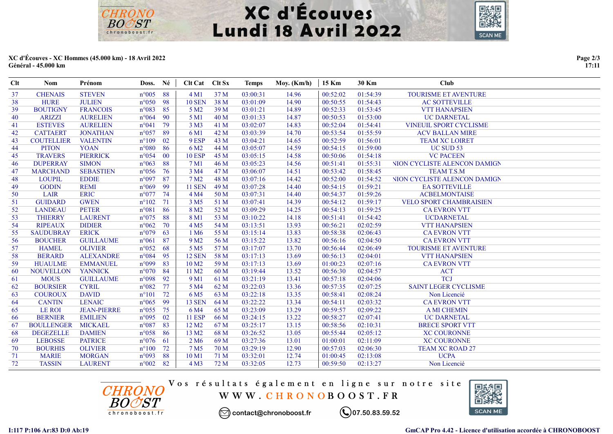



## XC d'Écouves - XC Hommes (45.000 km) - 18 Avril 2022 Général - 45.000 km

**CHRONO BOOST** 

chronoboost.fl

| Clt | <b>Nom</b>        | Prénom             | Doss. Né          |        | <b>Clt Cat</b>    | Clt Sx | <b>Temps</b> | Moy. (Km/h) | 15 Km    | 30 Km    | <b>Club</b>                  |
|-----|-------------------|--------------------|-------------------|--------|-------------------|--------|--------------|-------------|----------|----------|------------------------------|
| 37  | <b>CHENAIS</b>    | <b>STEVEN</b>      | $n^{\circ}005$    | 88     | 4 M1              | 37 M   | 03:00:31     | 14.96       | 00:52:02 | 01:54:39 | TOURISME ET AVENTURE         |
| 38  | <b>HURE</b>       | <b>JULIEN</b>      | $n^{\circ}050$    | -98    | <b>10 SEN</b>     | 38 M   | 03:01:09     | 14.90       | 00:50:55 | 01:54:43 | <b>AC SOTTEVILLE</b>         |
| 39  | <b>BOUTIGNY</b>   | <b>FRANCOIS</b>    | $n^{\circ}083$    | 85     | 5 M <sub>2</sub>  | 39 M   | 03:01:21     | 14.89       | 00:52:33 | 01:53:45 | <b>VTT HANAPSIEN</b>         |
| 40  | <b>ARIZZI</b>     | <b>AURELIEN</b>    | $n^{\circ}064$    | 90     | 5 M1              | 40 M   | 03:01:33     | 14.87       | 00:50:53 | 01:53:00 | <b>UC DARNETAL</b>           |
| 41  | <b>ESTEVES</b>    | <b>AURELIEN</b>    | $n^{\circ}041$    | 79     | 3 M3              | 41 M   | 03:02:07     | 14.83       | 00:52:04 | 01:54:41 | VINEUIL SPORT CYCLISME       |
| 42  | <b>CATTAERT</b>   | <b>JONATHAN</b>    | $n^{\circ}057$    | 89     | 6 M1              | 42 M   | 03:03:39     | 14.70       | 00:53:54 | 01:55:59 | <b>ACV BALLAN MIRE</b>       |
| 43  | <b>COUTELLIER</b> | <b>VALENTIN</b>    | $n^{\circ}109$    | 02     | 9 ESP             | 43 M   | 03:04:21     | 14.65       | 00:52:59 | 01:56:01 | <b>TEAM XC LOIRET</b>        |
| 44  | <b>PITON</b>      | <b>YOAN</b>        | $n^{\circ}080$    | 86     | 6 M <sub>2</sub>  | 44 M   | 03:05:07     | 14.59       | 00:54:15 | 01:59:00 | UC SUD 53                    |
| 45  | <b>TRAVERS</b>    | <b>PIERRICK</b>    | $n^{\circ}054$    | $00\,$ | <b>10 ESP</b>     | 45 M   | 03:05:15     | 14.58       | 00:50:06 | 01:54:18 | <b>VC PACEEN</b>             |
| 46  | <b>DUPERRAY</b>   | <b>SIMON</b>       | $n^{\circ}063$    | 88     | 7 M1              | 46 M   | 03:05:23     | 14.56       | 00:51:41 | 01:55:31 | NION CYCLISTE ALENCON DAMIGN |
| 47  | <b>MARCHAND</b>   | <b>SEBASTIEN</b>   | $n^{\circ}056$    | 76     | 3 M4              | 47 M   | 03:06:07     | 14.51       | 00:53:42 | 01:58:45 | <b>TEAM T.S.M</b>            |
| 48  | <b>LOUPIL</b>     | <b>EDDIE</b>       | n°097             | 87     | 7 M <sub>2</sub>  | 48 M   | 03:07:16     | 14.42       | 00:52:00 | 01:54:52 | NION CYCLISTE ALENCON DAMIGN |
| 49  | <b>GODIN</b>      | <b>REMI</b>        | $n^{\circ}069$    | -99    | <b>11 SEN</b>     | 49 M   | 03:07:28     | 14.40       | 00:54:15 | 01:59:21 | <b>EA SOTTEVILLE</b>         |
| 50  | <b>LAIR</b>       | <b>ERIC</b>        | $n^{\circ}077$    | 74     | 4 M4              | 50 M   | 03:07:31     | 14.40       | 00:54:37 | 01:59:26 | <b>ACBELMONTAISE</b>         |
| 51  | <b>GUIDARD</b>    | <b>GWEN</b>        | $n^{\circ}102$    | 71     | 3 M <sub>5</sub>  | 51 M   | 03:07:41     | 14.39       | 00:54:12 | 01:59:17 | VELO SPORT CHAMBRAISIEN      |
| 52  | <b>LANDEAU</b>    | <b>PETER</b>       | $n^{\circ}081$    | 86     | 8 M <sub>2</sub>  | 52 M   | 03:09:29     | 14.25       | 00:54:13 | 01:59:25 | <b>CA EVRON VTT</b>          |
| 53  | <b>THIERRY</b>    | <b>LAURENT</b>     | $n^{\circ}075$    | 88     | 8 M1              | 53 M   | 03:10:22     | 14.18       | 00:51:41 | 01:54:42 | <b>UCDARNETAL</b>            |
| 54  | <b>RIPEAUX</b>    | <b>DIDIER</b>      | $n^{\circ}062$    | 70     | 4 M <sub>5</sub>  | 54 M   | 03:13:51     | 13.93       | 00:56:21 | 02:02:59 | <b>VTT HANAPSIEN</b>         |
| 55  | <b>SAUDUBRAY</b>  | <b>ERICK</b>       | $n^{\circ}079$    | 63     | 1 M <sub>6</sub>  | 55 M   | 03:15:14     | 13.83       | 00:58:38 | 02:06:43 | <b>CA EVRON VTT</b>          |
| 56  | <b>BOUCHER</b>    | <b>GUILLAUME</b>   | $n^{\circ}061$    | 87     | 9 M <sub>2</sub>  | 56 M   | 03:15:22     | 13.82       | 00:56:16 | 02:04:50 | <b>CA EVRON VTT</b>          |
| 57  | <b>HAMEL</b>      | <b>OLIVIER</b>     | $n^{\circ}052$    | 68     | 5 M <sub>5</sub>  | 57 M   | 03:17:07     | 13.70       | 00:56:44 | 02:06:49 | <b>TOURISME ET AVENTURE</b>  |
| 58  | <b>BERARD</b>     | <b>ALEXANDRE</b>   | $n^{\circ}084$    | 95     | <b>12 SEN</b>     | 58 M   | 03:17:13     | 13.69       | 00:56:13 | 02:04:01 | <b>VTT HANAPSIEN</b>         |
| 59  | <b>HUAULME</b>    | <b>EMMANUEL</b>    | $n^{\circ}099$    | 83     | 10 M <sub>2</sub> | 59 M   | 03:17:13     | 13.69       | 01:00:23 | 02:07:16 | <b>CA EVRON VTT</b>          |
| 60  | <b>NOUVELLON</b>  | <b>YANNICK</b>     | $n^{\circ}070$    | - 84   | 11 M <sub>2</sub> | 60 M   | 03:19:44     | 13.52       | 00:56:30 | 02:04:57 | <b>ACT</b>                   |
| 61  | <b>MOUS</b>       | <b>GUILLAUME</b>   | $n^{\circ}098$    | 92     | 9 M1              | 61 M   | 03:21:19     | 13.41       | 00:57:18 | 02:04:06 | <b>TCJ</b>                   |
| 62  | <b>BOURSIER</b>   | <b>CYRIL</b>       | $n^{\circ}082$    | 77     | 5 M4              | 62 M   | 03:22:03     | 13.36       | 00:57:35 | 02:07:25 | <b>SAINT LEGER CYCLISME</b>  |
| 63  | <b>COUROUX</b>    | <b>DAVID</b>       | $n^{\circ}101$    | 72     | 6 M <sub>5</sub>  | 63 M   | 03:22:18     | 13.35       | 00:58:41 | 02:08:24 | Non Licencié                 |
| 64  | <b>CANTIN</b>     | <b>LENAIC</b>      | $n^{\circ}065$    | - 99   | <b>13 SEN</b>     | 64 M   | 03:22:22     | 13.34       | 00:54:11 | 02:03:32 | <b>CA EVRON VTT</b>          |
| 65  | LE ROI            | <b>JEAN-PIERRE</b> | $n^{\circ}055$    | 75     | 6 M4              | 65 M   | 03:23:09     | 13.29       | 00:59:57 | 02:09:22 | <b>A MI CHEMIN</b>           |
| 66  | <b>BERNIER</b>    | <b>EMILIEN</b>     | $n^{\circ}095$    | 02     | <b>11 ESP</b>     | 66 M   | 03:24:15     | 13.22       | 00:58:27 | 02:07:41 | <b>UC DARNETAL</b>           |
| 67  | <b>BOULLENGER</b> | <b>MICKAEL</b>     | $n^{\circ}087$    | 83     | 12 M <sub>2</sub> | 67 M   | 03:25:17     | 13.15       | 00:58:56 | 02:10:31 | <b>BRECE SPORT VTT</b>       |
| 68  | <b>DEGEZELLE</b>  | <b>DAMIEN</b>      | $n^{\circ}058$    | - 86   | 13 M <sub>2</sub> | 68 M   | 03:26:52     | 13.05       | 00:55:44 | 02:05:12 | <b>XC COURONNE</b>           |
| 69  | <b>LEBOSSE</b>    | <b>PATRICE</b>     | $n^{\circ}076$ 61 |        | 2 M <sub>6</sub>  | 69 M   | 03:27:36     | 13.01       | 01:00:01 | 02:11:09 | <b>XC COURONNE</b>           |
| 70  | <b>BOURHIS</b>    | <b>OLIVIER</b>     | $n^{\circ}100$    | 72     | 7 M <sub>5</sub>  | 70 M   | 03:29:19     | 12.90       | 00:57:03 | 02:06:30 | <b>TEAM XC ROAD 27</b>       |
| 71  | <b>MARIE</b>      | <b>MORGAN</b>      | $n^{\circ}093$    | 88     | 10 M1             | 71 M   | 03:32:01     | 12.74       | 01:00:45 | 02:13:08 | <b>UCPA</b>                  |
| 72  | <b>TASSIN</b>     | <b>LAURENT</b>     | $n^{\circ}002$ 82 |        | 4 M3              | 72 M   | 03:32:05     | 12.73       | 00:59:50 | 02:13:27 | Non Licencié                 |



Vos résultats également en ligne sur notre site WWW.CHRONOBOOST.FR



◯ contact@chronoboost.fr

 $\mathbb{Q}$ 07.50.83.59.52

I:117 P:106 Ar:83 D:0 Ab:19 GmCAP Pro 4.42 - Licence d'utilisation accordée à CHRONOBOOST

Page 2/3 17:11